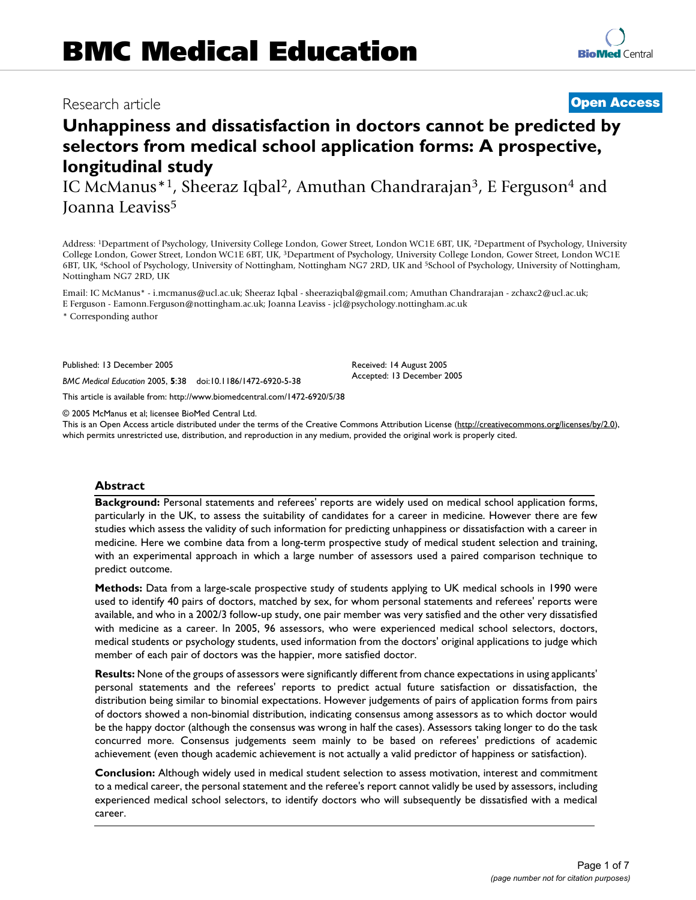## Research article **[Open Access](http://www.biomedcentral.com/info/about/charter/)**

# **[BioMed](http://www.biomedcentral.com/)** Central

# **Unhappiness and dissatisfaction in doctors cannot be predicted by selectors from medical school application forms: A prospective, longitudinal study**

IC McManus<sup>\*1</sup>, Sheeraz Iqbal<sup>2</sup>, Amuthan Chandrarajan<sup>3</sup>, E Ferguson<sup>4</sup> and Joanna Leaviss<sup>5</sup>

Address: 1Department of Psychology, University College London, Gower Street, London WC1E 6BT, UK, 2Department of Psychology, University College London, Gower Street, London WC1E 6BT, UK, 3Department of Psychology, University College London, Gower Street, London WC1E 6BT, UK, 4School of Psychology, University of Nottingham, Nottingham NG7 2RD, UK and 5School of Psychology, University of Nottingham, Nottingham NG7 2RD, UK

Email: IC McManus\* - i.mcmanus@ucl.ac.uk; Sheeraz Iqbal - sheeraziqbal@gmail.com; Amuthan Chandrarajan - zchaxc2@ucl.ac.uk; E Ferguson - Eamonn.Ferguson@nottingham.ac.uk; Joanna Leaviss - jcl@psychology.nottingham.ac.uk

\* Corresponding author

Published: 13 December 2005

*BMC Medical Education* 2005, **5**:38 doi:10.1186/1472-6920-5-38

[This article is available from: http://www.biomedcentral.com/1472-6920/5/38](http://www.biomedcentral.com/1472-6920/5/38)

© 2005 McManus et al; licensee BioMed Central Ltd.

This is an Open Access article distributed under the terms of the Creative Commons Attribution License [\(http://creativecommons.org/licenses/by/2.0\)](http://creativecommons.org/licenses/by/2.0), which permits unrestricted use, distribution, and reproduction in any medium, provided the original work is properly cited.

Received: 14 August 2005 Accepted: 13 December 2005

#### **Abstract**

**Background:** Personal statements and referees' reports are widely used on medical school application forms, particularly in the UK, to assess the suitability of candidates for a career in medicine. However there are few studies which assess the validity of such information for predicting unhappiness or dissatisfaction with a career in medicine. Here we combine data from a long-term prospective study of medical student selection and training, with an experimental approach in which a large number of assessors used a paired comparison technique to predict outcome.

**Methods:** Data from a large-scale prospective study of students applying to UK medical schools in 1990 were used to identify 40 pairs of doctors, matched by sex, for whom personal statements and referees' reports were available, and who in a 2002/3 follow-up study, one pair member was very satisfied and the other very dissatisfied with medicine as a career. In 2005, 96 assessors, who were experienced medical school selectors, doctors, medical students or psychology students, used information from the doctors' original applications to judge which member of each pair of doctors was the happier, more satisfied doctor.

**Results:** None of the groups of assessors were significantly different from chance expectations in using applicants' personal statements and the referees' reports to predict actual future satisfaction or dissatisfaction, the distribution being similar to binomial expectations. However judgements of pairs of application forms from pairs of doctors showed a non-binomial distribution, indicating consensus among assessors as to which doctor would be the happy doctor (although the consensus was wrong in half the cases). Assessors taking longer to do the task concurred more. Consensus judgements seem mainly to be based on referees' predictions of academic achievement (even though academic achievement is not actually a valid predictor of happiness or satisfaction).

**Conclusion:** Although widely used in medical student selection to assess motivation, interest and commitment to a medical career, the personal statement and the referee's report cannot validly be used by assessors, including experienced medical school selectors, to identify doctors who will subsequently be dissatisfied with a medical career.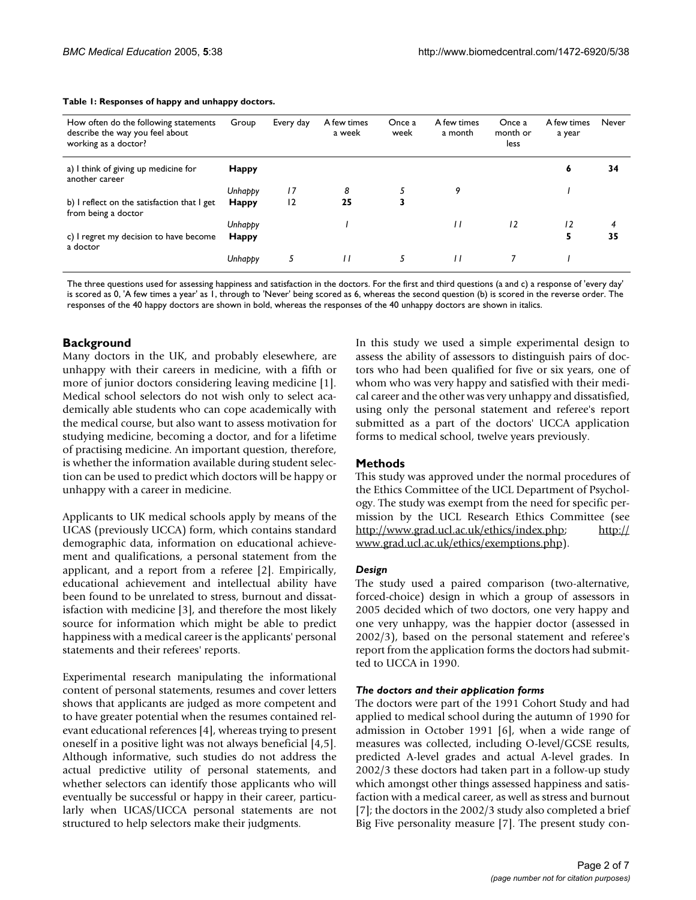| How often do the following statements<br>describe the way you feel about<br>working as a doctor? | Group          | Every day | A few times<br>a week | Once a<br>week | A few times<br>a month | Once a<br>month or<br>less | A few times<br>a year | Never |
|--------------------------------------------------------------------------------------------------|----------------|-----------|-----------------------|----------------|------------------------|----------------------------|-----------------------|-------|
| a) I think of giving up medicine for<br>another career                                           | Happy          |           |                       |                |                        |                            | O                     | 34    |
|                                                                                                  | <b>Unhappy</b> | 17        | 8                     |                | 9                      |                            |                       |       |
| b) I reflect on the satisfaction that I get<br>from being a doctor                               | Happy          | 12        | 25                    |                |                        |                            |                       |       |
|                                                                                                  | <b>Unhappy</b> |           |                       |                | 11                     | 12                         | 12                    | 4     |
| c) I regret my decision to have become<br>a doctor                                               | Happy          |           |                       |                |                        |                            |                       | 35    |
|                                                                                                  | Unhabby        |           | $\prime\prime$        | 5              | $\mathbf{1}$           |                            |                       |       |

#### **Table 1: Responses of happy and unhappy doctors.**

The three questions used for assessing happiness and satisfaction in the doctors. For the first and third questions (a and c) a response of 'every day' is scored as 0, 'A few times a year' as 1, through to 'Never' being scored as 6, whereas the second question (b) is scored in the reverse order. The responses of the 40 happy doctors are shown in bold, whereas the responses of the 40 unhappy doctors are shown in italics.

#### **Background**

Many doctors in the UK, and probably elesewhere, are unhappy with their careers in medicine, with a fifth or more of junior doctors considering leaving medicine [1]. Medical school selectors do not wish only to select academically able students who can cope academically with the medical course, but also want to assess motivation for studying medicine, becoming a doctor, and for a lifetime of practising medicine. An important question, therefore, is whether the information available during student selection can be used to predict which doctors will be happy or unhappy with a career in medicine.

Applicants to UK medical schools apply by means of the UCAS (previously UCCA) form, which contains standard demographic data, information on educational achievement and qualifications, a personal statement from the applicant, and a report from a referee [2]. Empirically, educational achievement and intellectual ability have been found to be unrelated to stress, burnout and dissatisfaction with medicine [3], and therefore the most likely source for information which might be able to predict happiness with a medical career is the applicants' personal statements and their referees' reports.

Experimental research manipulating the informational content of personal statements, resumes and cover letters shows that applicants are judged as more competent and to have greater potential when the resumes contained relevant educational references [4], whereas trying to present oneself in a positive light was not always beneficial [4,5]. Although informative, such studies do not address the actual predictive utility of personal statements, and whether selectors can identify those applicants who will eventually be successful or happy in their career, particularly when UCAS/UCCA personal statements are not structured to help selectors make their judgments.

In this study we used a simple experimental design to assess the ability of assessors to distinguish pairs of doctors who had been qualified for five or six years, one of whom who was very happy and satisfied with their medical career and the other was very unhappy and dissatisfied, using only the personal statement and referee's report submitted as a part of the doctors' UCCA application forms to medical school, twelve years previously.

#### **Methods**

This study was approved under the normal procedures of the Ethics Committee of the UCL Department of Psychology. The study was exempt from the need for specific permission by the UCL Research Ethics Committee (see [http://www.grad.ucl.ac.uk/ethics/index.php;](http://www.grad.ucl.ac.uk/ethics/index.php) [http://](http://www.grad.ucl.ac.uk/ethics/exemptions.php) [www.grad.ucl.ac.uk/ethics/exemptions.php\)](http://www.grad.ucl.ac.uk/ethics/exemptions.php).

#### *Design*

The study used a paired comparison (two-alternative, forced-choice) design in which a group of assessors in 2005 decided which of two doctors, one very happy and one very unhappy, was the happier doctor (assessed in 2002/3), based on the personal statement and referee's report from the application forms the doctors had submitted to UCCA in 1990.

#### *The doctors and their application forms*

The doctors were part of the 1991 Cohort Study and had applied to medical school during the autumn of 1990 for admission in October 1991 [6], when a wide range of measures was collected, including O-level/GCSE results, predicted A-level grades and actual A-level grades. In 2002/3 these doctors had taken part in a follow-up study which amongst other things assessed happiness and satisfaction with a medical career, as well as stress and burnout [7]; the doctors in the 2002/3 study also completed a brief Big Five personality measure [7]. The present study con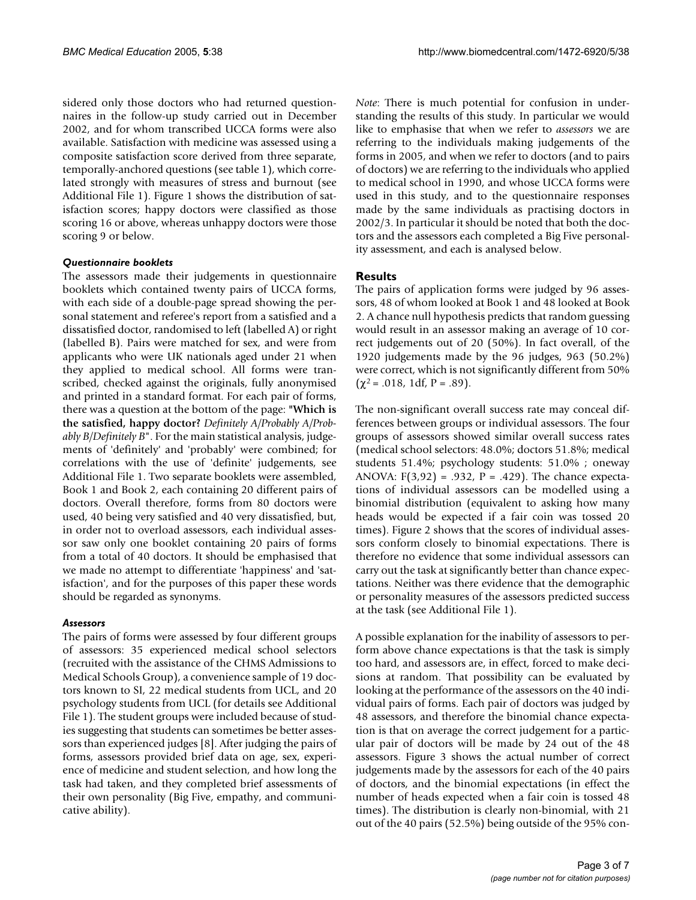sidered only those doctors who had returned questionnaires in the follow-up study carried out in December 2002, and for whom transcribed UCCA forms were also available. Satisfaction with medicine was assessed using a composite satisfaction score derived from three separate, temporally-anchored questions (see table 1), which correlated strongly with measures of stress and burnout (see Additional File 1). Figure 1 shows the distribution of satisfaction scores; happy doctors were classified as those scoring 16 or above, whereas unhappy doctors were those scoring 9 or below.

#### *Questionnaire booklets*

The assessors made their judgements in questionnaire booklets which contained twenty pairs of UCCA forms, with each side of a double-page spread showing the personal statement and referee's report from a satisfied and a dissatisfied doctor, randomised to left (labelled A) or right (labelled B). Pairs were matched for sex, and were from applicants who were UK nationals aged under 21 when they applied to medical school. All forms were transcribed, checked against the originals, fully anonymised and printed in a standard format. For each pair of forms, there was a question at the bottom of the page: **"Which is the satisfied, happy doctor?** *Definitely A/Probably A/Probably B/Definitely B*". For the main statistical analysis, judgements of 'definitely' and 'probably' were combined; for correlations with the use of 'definite' judgements, see Additional File 1. Two separate booklets were assembled, Book 1 and Book 2, each containing 20 different pairs of doctors. Overall therefore, forms from 80 doctors were used, 40 being very satisfied and 40 very dissatisfied, but, in order not to overload assessors, each individual assessor saw only one booklet containing 20 pairs of forms from a total of 40 doctors. It should be emphasised that we made no attempt to differentiate 'happiness' and 'satisfaction', and for the purposes of this paper these words should be regarded as synonyms.

#### *Assessors*

The pairs of forms were assessed by four different groups of assessors: 35 experienced medical school selectors (recruited with the assistance of the CHMS Admissions to Medical Schools Group), a convenience sample of 19 doctors known to SI, 22 medical students from UCL, and 20 psychology students from UCL (for details see Additional File 1). The student groups were included because of studies suggesting that students can sometimes be better assessors than experienced judges [8]. After judging the pairs of forms, assessors provided brief data on age, sex, experience of medicine and student selection, and how long the task had taken, and they completed brief assessments of their own personality (Big Five, empathy, and communicative ability).

*Note*: There is much potential for confusion in understanding the results of this study. In particular we would like to emphasise that when we refer to *assessors* we are referring to the individuals making judgements of the forms in 2005, and when we refer to doctors (and to pairs of doctors) we are referring to the individuals who applied to medical school in 1990, and whose UCCA forms were used in this study, and to the questionnaire responses made by the same individuals as practising doctors in 2002/3. In particular it should be noted that both the doctors and the assessors each completed a Big Five personality assessment, and each is analysed below.

#### **Results**

The pairs of application forms were judged by 96 assessors, 48 of whom looked at Book 1 and 48 looked at Book 2. A chance null hypothesis predicts that random guessing would result in an assessor making an average of 10 correct judgements out of 20 (50%). In fact overall, of the 1920 judgements made by the 96 judges, 963 (50.2%) were correct, which is not significantly different from 50%  $(\chi^2 = .018, 1df, P = .89)$ .

The non-significant overall success rate may conceal differences between groups or individual assessors. The four groups of assessors showed similar overall success rates (medical school selectors: 48.0%; doctors 51.8%; medical students 51.4%; psychology students: 51.0% ; oneway ANOVA:  $F(3,92) = .932$ ,  $P = .429$ ). The chance expectations of individual assessors can be modelled using a binomial distribution (equivalent to asking how many heads would be expected if a fair coin was tossed 20 times). Figure 2 shows that the scores of individual assessors conform closely to binomial expectations. There is therefore no evidence that some individual assessors can carry out the task at significantly better than chance expectations. Neither was there evidence that the demographic or personality measures of the assessors predicted success at the task (see Additional File 1).

A possible explanation for the inability of assessors to perform above chance expectations is that the task is simply too hard, and assessors are, in effect, forced to make decisions at random. That possibility can be evaluated by looking at the performance of the assessors on the 40 individual pairs of forms. Each pair of doctors was judged by 48 assessors, and therefore the binomial chance expectation is that on average the correct judgement for a particular pair of doctors will be made by 24 out of the 48 assessors. Figure 3 shows the actual number of correct judgements made by the assessors for each of the 40 pairs of doctors, and the binomial expectations (in effect the number of heads expected when a fair coin is tossed 48 times). The distribution is clearly non-binomial, with 21 out of the 40 pairs (52.5%) being outside of the 95% con-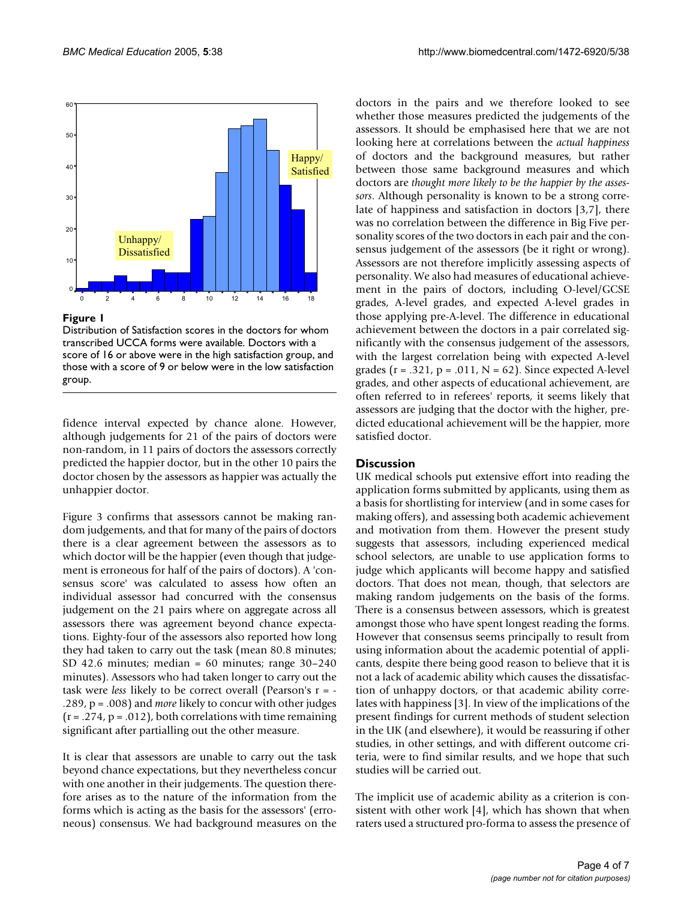

#### Figure 1

Distribution of Satisfaction scores in the doctors for whom transcribed UCCA forms were available. Doctors with a score of 16 or above were in the high satisfaction group, and those with a score of 9 or below were in the low satisfaction group.

fidence interval expected by chance alone. However, although judgements for 21 of the pairs of doctors were non-random, in 11 pairs of doctors the assessors correctly predicted the happier doctor, but in the other 10 pairs the doctor chosen by the assessors as happier was actually the unhappier doctor.

Figure 3 confirms that assessors cannot be making random judgements, and that for many of the pairs of doctors there is a clear agreement between the assessors as to which doctor will be the happier (even though that judgement is erroneous for half of the pairs of doctors). A 'consensus score' was calculated to assess how often an individual assessor had concurred with the consensus judgement on the 21 pairs where on aggregate across all assessors there was agreement beyond chance expectations. Eighty-four of the assessors also reported how long they had taken to carry out the task (mean 80.8 minutes; SD 42.6 minutes; median = 60 minutes; range 30–240 minutes). Assessors who had taken longer to carry out the task were *less* likely to be correct overall (Pearson's r = - .289, p = .008) and *more* likely to concur with other judges  $(r = .274, p = .012)$ , both correlations with time remaining significant after partialling out the other measure.

It is clear that assessors are unable to carry out the task beyond chance expectations, but they nevertheless concur with one another in their judgements. The question therefore arises as to the nature of the information from the forms which is acting as the basis for the assessors' (erroneous) consensus. We had background measures on the doctors in the pairs and we therefore looked to see whether those measures predicted the judgements of the assessors. It should be emphasised here that we are not looking here at correlations between the *actual happiness* of doctors and the background measures, but rather between those same background measures and which doctors are *thought more likely to be the happier by the assessors*. Although personality is known to be a strong correlate of happiness and satisfaction in doctors [3,7], there was no correlation between the difference in Big Five personality scores of the two doctors in each pair and the consensus judgement of the assessors (be it right or wrong). Assessors are not therefore implicitly assessing aspects of personality. We also had measures of educational achievement in the pairs of doctors, including O-level/GCSE grades, A-level grades, and expected A-level grades in those applying pre-A-level. The difference in educational achievement between the doctors in a pair correlated significantly with the consensus judgement of the assessors, with the largest correlation being with expected A-level grades ( $r = .321$ ,  $p = .011$ ,  $N = 62$ ). Since expected A-level grades, and other aspects of educational achievement, are often referred to in referees' reports, it seems likely that assessors are judging that the doctor with the higher, predicted educational achievement will be the happier, more satisfied doctor.

#### **Discussion**

UK medical schools put extensive effort into reading the application forms submitted by applicants, using them as a basis for shortlisting for interview (and in some cases for making offers), and assessing both academic achievement and motivation from them. However the present study suggests that assessors, including experienced medical school selectors, are unable to use application forms to judge which applicants will become happy and satisfied doctors. That does not mean, though, that selectors are making random judgements on the basis of the forms. There is a consensus between assessors, which is greatest amongst those who have spent longest reading the forms. However that consensus seems principally to result from using information about the academic potential of applicants, despite there being good reason to believe that it is not a lack of academic ability which causes the dissatisfaction of unhappy doctors, or that academic ability correlates with happiness [3]. In view of the implications of the present findings for current methods of student selection in the UK (and elsewhere), it would be reassuring if other studies, in other settings, and with different outcome criteria, were to find similar results, and we hope that such studies will be carried out.

The implicit use of academic ability as a criterion is consistent with other work [4], which has shown that when raters used a structured pro-forma to assess the presence of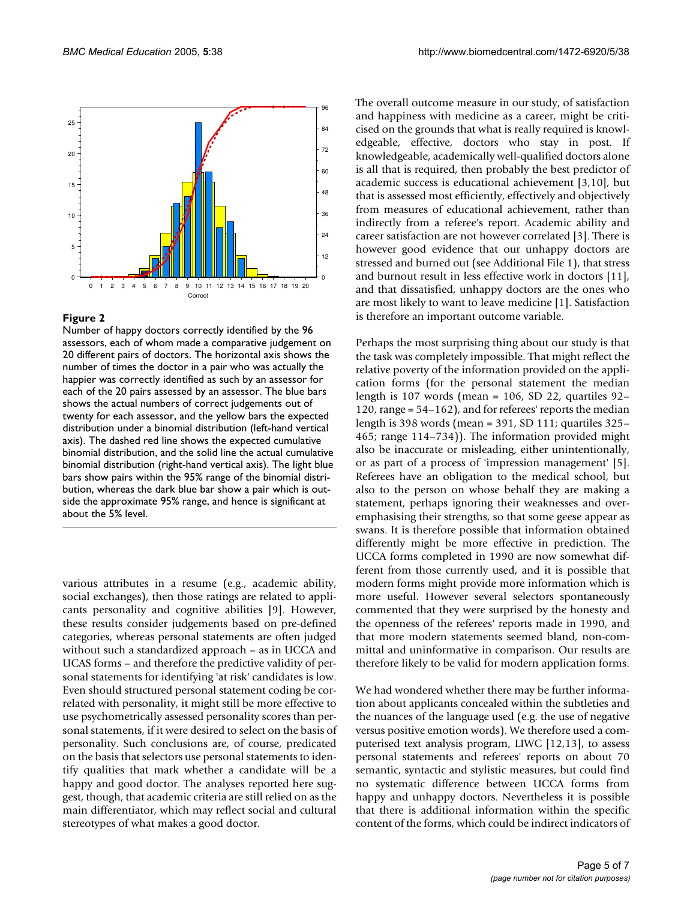

#### Figure 2

Number of happy doctors correctly identified by the 96 assessors, each of whom made a comparative judgement on 20 different pairs of doctors. The horizontal axis shows the number of times the doctor in a pair who was actually the happier was correctly identified as such by an assessor for each of the 20 pairs assessed by an assessor. The blue bars shows the actual numbers of correct judgements out of twenty for each assessor, and the yellow bars the expected distribution under a binomial distribution (left-hand vertical axis). The dashed red line shows the expected cumulative binomial distribution, and the solid line the actual cumulative binomial distribution (right-hand vertical axis). The light blue bars show pairs within the 95% range of the binomial distribution, whereas the dark blue bar show a pair which is outside the approximate 95% range, and hence is significant at about the 5% level.

various attributes in a resume (e.g., academic ability, social exchanges), then those ratings are related to applicants personality and cognitive abilities [9]. However, these results consider judgements based on pre-defined categories, whereas personal statements are often judged without such a standardized approach – as in UCCA and UCAS forms – and therefore the predictive validity of personal statements for identifying 'at risk' candidates is low. Even should structured personal statement coding be correlated with personality, it might still be more effective to use psychometrically assessed personality scores than personal statements, if it were desired to select on the basis of personality. Such conclusions are, of course, predicated on the basis that selectors use personal statements to identify qualities that mark whether a candidate will be a happy and good doctor. The analyses reported here suggest, though, that academic criteria are still relied on as the main differentiator, which may reflect social and cultural stereotypes of what makes a good doctor.

The overall outcome measure in our study, of satisfaction and happiness with medicine as a career, might be criticised on the grounds that what is really required is knowledgeable, effective, doctors who stay in post. If knowledgeable, academically well-qualified doctors alone is all that is required, then probably the best predictor of academic success is educational achievement [3,10], but that is assessed most efficiently, effectively and objectively from measures of educational achievement, rather than indirectly from a referee's report. Academic ability and career satisfaction are not however correlated [3]. There is however good evidence that our unhappy doctors are stressed and burned out (see Additional File 1), that stress and burnout result in less effective work in doctors [11], and that dissatisfied, unhappy doctors are the ones who are most likely to want to leave medicine [1]. Satisfaction is therefore an important outcome variable.

Perhaps the most surprising thing about our study is that the task was completely impossible. That might reflect the relative poverty of the information provided on the application forms (for the personal statement the median length is 107 words (mean = 106, SD 22, quartiles 92– 120, range = 54–162), and for referees' reports the median length is 398 words (mean = 391, SD 111; quartiles 325– 465; range 114–734)). The information provided might also be inaccurate or misleading, either unintentionally, or as part of a process of 'impression management' [5]. Referees have an obligation to the medical school, but also to the person on whose behalf they are making a statement, perhaps ignoring their weaknesses and overemphasising their strengths, so that some geese appear as swans. It is therefore possible that information obtained differently might be more effective in prediction. The UCCA forms completed in 1990 are now somewhat different from those currently used, and it is possible that modern forms might provide more information which is more useful. However several selectors spontaneously commented that they were surprised by the honesty and the openness of the referees' reports made in 1990, and that more modern statements seemed bland, non-committal and uninformative in comparison. Our results are therefore likely to be valid for modern application forms.

We had wondered whether there may be further information about applicants concealed within the subtleties and the nuances of the language used (e.g. the use of negative versus positive emotion words). We therefore used a computerised text analysis program, LIWC [12,13], to assess personal statements and referees' reports on about 70 semantic, syntactic and stylistic measures, but could find no systematic difference between UCCA forms from happy and unhappy doctors. Nevertheless it is possible that there is additional information within the specific content of the forms, which could be indirect indicators of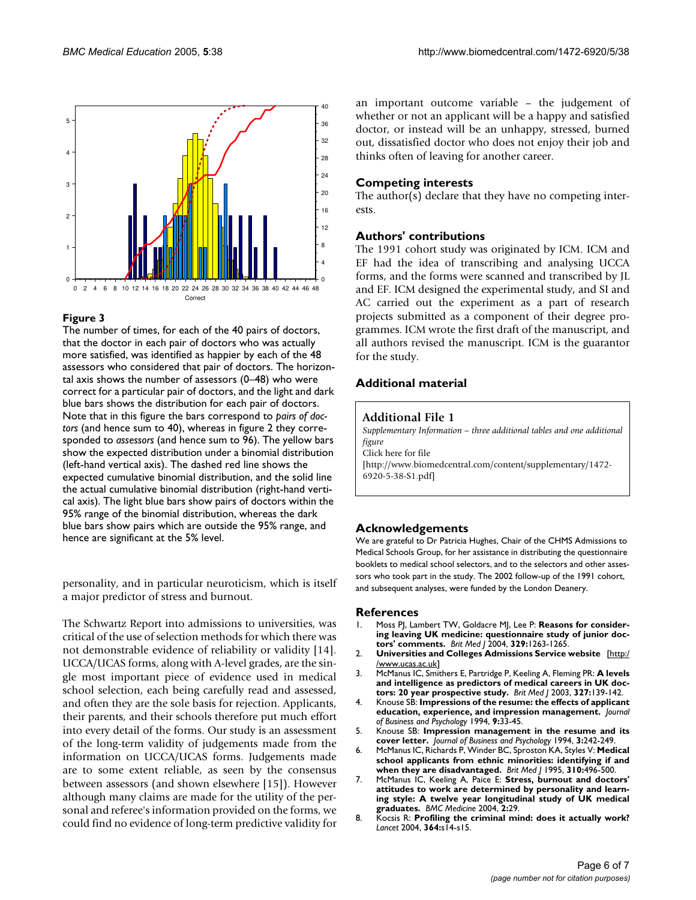

#### Figure 3

The number of times, for each of the 40 pairs of doctors, that the doctor in each pair of doctors who was actually more satisfied, was identified as happier by each of the 48 assessors who considered that pair of doctors. The horizontal axis shows the number of assessors (0–48) who were correct for a particular pair of doctors, and the light and dark blue bars shows the distribution for each pair of doctors. Note that in this figure the bars correspond to *pairs of doctors* (and hence sum to 40), whereas in figure 2 they corresponded to *assessors* (and hence sum to 96). The yellow bars show the expected distribution under a binomial distribution (left-hand vertical axis). The dashed red line shows the expected cumulative binomial distribution, and the solid line the actual cumulative binomial distribution (right-hand vertical axis). The light blue bars show pairs of doctors within the 95% range of the binomial distribution, whereas the dark blue bars show pairs which are outside the 95% range, and hence are significant at the 5% level.

personality, and in particular neuroticism, which is itself a major predictor of stress and burnout.

The Schwartz Report into admissions to universities, was critical of the use of selection methods for which there was not demonstrable evidence of reliability or validity [14]. UCCA/UCAS forms, along with A-level grades, are the single most important piece of evidence used in medical school selection, each being carefully read and assessed, and often they are the sole basis for rejection. Applicants, their parents, and their schools therefore put much effort into every detail of the forms. Our study is an assessment of the long-term validity of judgements made from the information on UCCA/UCAS forms. Judgements made are to some extent reliable, as seen by the consensus between assessors (and shown elsewhere [15]). However although many claims are made for the utility of the personal and referee's information provided on the forms, we could find no evidence of long-term predictive validity for an important outcome variable – the judgement of whether or not an applicant will be a happy and satisfied doctor, or instead will be an unhappy, stressed, burned out, dissatisfied doctor who does not enjoy their job and thinks often of leaving for another career.

#### **Competing interests**

The author(s) declare that they have no competing interests.

#### **Authors' contributions**

The 1991 cohort study was originated by ICM. ICM and EF had the idea of transcribing and analysing UCCA forms, and the forms were scanned and transcribed by JL and EF. ICM designed the experimental study, and SI and AC carried out the experiment as a part of research projects submitted as a component of their degree programmes. ICM wrote the first draft of the manuscript, and all authors revised the manuscript. ICM is the guarantor for the study.

### **Additional material**

#### **Additional File 1**

*Supplementary Information – three additional tables and one additional figure*

Click here for file [\[http://www.biomedcentral.com/content/supplementary/1472-](http://www.biomedcentral.com/content/supplementary/1472-6920-5-38-S1.pdf) 6920-5-38-S1.pdf]

#### **Acknowledgements**

We are grateful to Dr Patricia Hughes, Chair of the CHMS Admissions to Medical Schools Group, for her assistance in distributing the questionnaire booklets to medical school selectors, and to the selectors and other assessors who took part in the study. The 2002 follow-up of the 1991 cohort, and subsequent analyses, were funded by the London Deanery.

#### **References**

- 1. Moss PJ, Lambert TW, Goldacre MJ, Lee P: **[Reasons for consider](http://www.ncbi.nlm.nih.gov/entrez/query.fcgi?cmd=Retrieve&db=PubMed&dopt=Abstract&list_uids=15469947)[ing leaving UK medicine: questionnaire study of junior doc](http://www.ncbi.nlm.nih.gov/entrez/query.fcgi?cmd=Retrieve&db=PubMed&dopt=Abstract&list_uids=15469947)[tors' comments.](http://www.ncbi.nlm.nih.gov/entrez/query.fcgi?cmd=Retrieve&db=PubMed&dopt=Abstract&list_uids=15469947)** *Brit Med J* 2004, **329:**1263-1265.
- 2. **Universities and Colleges Admissions Service website** [[http:/](http://www.ucas.ac.uk) [/www.ucas.ac.uk\]](http://www.ucas.ac.uk)
- 3. McManus IC, Smithers E, Partridge P, Keeling A, Fleming PR: **[A levels](http://www.ncbi.nlm.nih.gov/entrez/query.fcgi?cmd=Retrieve&db=PubMed&dopt=Abstract&list_uids=12869457) [and intelligence as predictors of medical careers in UK doc](http://www.ncbi.nlm.nih.gov/entrez/query.fcgi?cmd=Retrieve&db=PubMed&dopt=Abstract&list_uids=12869457)[tors: 20 year prospective study.](http://www.ncbi.nlm.nih.gov/entrez/query.fcgi?cmd=Retrieve&db=PubMed&dopt=Abstract&list_uids=12869457)** *Brit Med J* 2003, **327:**139-142.
- 4. Knouse SB: **Impressions of the resume: the effects of applicant education, experience, and impression management.** *Journal of Business and Psychology* 1994, **9:**33-45.
- 5. Knouse SB: **Impression management in the resume and its cover letter.** *Journal of Business and Psychology* 1994, **3:**242-249.
- 6. McManus IC, Richards P, Winder BC, Sproston KA, Styles V: **[Medical](http://www.ncbi.nlm.nih.gov/entrez/query.fcgi?cmd=Retrieve&db=PubMed&dopt=Abstract&list_uids=7888888) [school applicants from ethnic minorities: identifying if and](http://www.ncbi.nlm.nih.gov/entrez/query.fcgi?cmd=Retrieve&db=PubMed&dopt=Abstract&list_uids=7888888) [when they are disadvantaged.](http://www.ncbi.nlm.nih.gov/entrez/query.fcgi?cmd=Retrieve&db=PubMed&dopt=Abstract&list_uids=7888888)** *Brit Med J* 1995, **310:**496-500.
- 7. McManus IC, Keeling A, Paice E: **[Stress, burnout and doctors'](http://www.ncbi.nlm.nih.gov/entrez/query.fcgi?cmd=Retrieve&db=PubMed&dopt=Abstract&list_uids=15317650) attitudes to work are determined by personality and learn[ing style: A twelve year longitudinal study of UK medical](http://www.ncbi.nlm.nih.gov/entrez/query.fcgi?cmd=Retrieve&db=PubMed&dopt=Abstract&list_uids=15317650) [graduates.](http://www.ncbi.nlm.nih.gov/entrez/query.fcgi?cmd=Retrieve&db=PubMed&dopt=Abstract&list_uids=15317650)** *BMC Medicine* 2004, **2:**29.
- 8. Kocsis R: **[Profiling the criminal mind: does it actually work?](http://www.ncbi.nlm.nih.gov/entrez/query.fcgi?cmd=Retrieve&db=PubMed&dopt=Abstract&list_uids=15967135)** *Lancet* 2004, **364:**s14-s15.